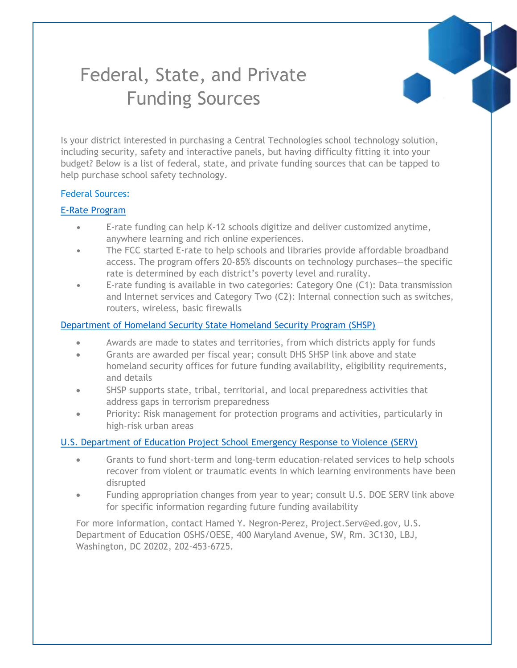# Federal, State, and Private Funding Sources

Is your district interested in purchasing a Central Technologies school technology solution, including security, safety and interactive panels, but having difficulty fitting it into your budget? Below is a list of federal, state, and private funding sources that can be tapped to help purchase school safety technology.

#### Federal Sources:

#### [E-Rate Program](https://www.usac.org/e-rate/)

- **•** E-rate funding can help K-12 schools digitize and deliver customized anytime, anywhere learning and rich online experiences.
- **•** The FCC started E-rate to help schools and libraries provide affordable broadband access. The program offers 20-85% discounts on technology purchases—the specific rate is determined by each district's poverty level and rurality.
- **•** E-rate funding is available in two categories: Category One (C1): Data transmission and Internet services and Category Two (C2): Internal connection such as switches, routers, wireless, basic firewalls

#### [Department of Homeland Security State Homeland Security Program \(SHSP\)](https://www.fema.gov/media-library-data/1555008457012-a393ddb75952f22ab0be5408c7fc1185/FY_2019_HSGP_Fact_Sheet_FINAL_508.pdf)

- Awards are made to states and territories, from which districts apply for funds
- Grants are awarded per fiscal year; consult DHS SHSP link above and state homeland security offices for future funding availability, eligibility requirements, and details
- SHSP supports state, tribal, territorial, and local preparedness activities that address gaps in terrorism preparedness
- Priority: Risk management for protection programs and activities, particularly in high-risk urban areas

#### U.S. Department of [Education Project School Emergency Response to Violence \(SERV\)](https://www2.ed.gov/programs/dvppserv/index.html)

- Grants to fund short-term and long-term education-related services to help schools recover from violent or traumatic events in which learning environments have been disrupted
- Funding appropriation changes from year to year; consult U.S. DOE SERV link above for specific information regarding future funding availability

For more information, contact Hamed Y. Negron-Perez, Project.Serv@ed.gov, U.S. Department of Education OSHS/OESE, 400 Maryland Avenue, SW, Rm. 3C130, LBJ, Washington, DC 20202, 202-453-6725.